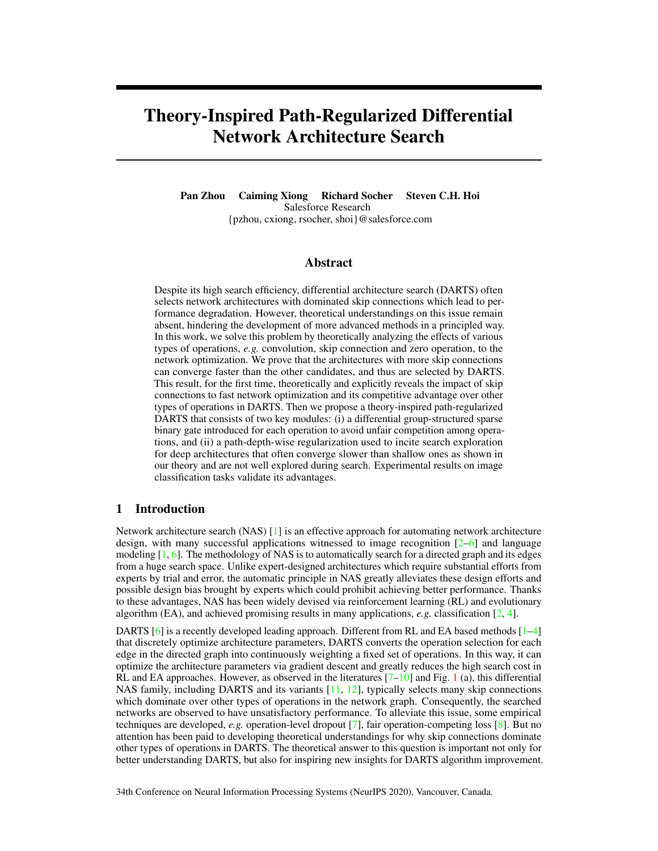# <span id="page-0-0"></span>Theory-Inspired Path-Regularized Differential Network Architecture Search

Pan Zhou Caiming Xiong Richard Socher Steven C.H. Hoi Salesforce Research {pzhou, cxiong, rsocher, shoi}@salesforce.com

# Abstract

Despite its high search efficiency, differential architecture search (DARTS) often selects network architectures with dominated skip connections which lead to performance degradation. However, theoretical understandings on this issue remain absent, hindering the development of more advanced methods in a principled way. In this work, we solve this problem by theoretically analyzing the effects of various types of operations, *e.g.* convolution, skip connection and zero operation, to the network optimization. We prove that the architectures with more skip connections can converge faster than the other candidates, and thus are selected by DARTS. This result, for the first time, theoretically and explicitly reveals the impact of skip connections to fast network optimization and its competitive advantage over other types of operations in DARTS. Then we propose a theory-inspired path-regularized DARTS that consists of two key modules: (i) a differential group-structured sparse binary gate introduced for each operation to avoid unfair competition among operations, and (ii) a path-depth-wise regularization used to incite search exploration for deep architectures that often converge slower than shallow ones as shown in our theory and are not well explored during search. Experimental results on image classification tasks validate its advantages.

# 1 Introduction

Network architecture search (NAS) [\[1\]](#page-9-0) is an effective approach for automating network architecture design, with many successful applications witnessed to image recognition  $[2-6]$  $[2-6]$  and language modeling [\[1,](#page-9-0) [6\]](#page-9-2). The methodology of NAS is to automatically search for a directed graph and its edges from a huge search space. Unlike expert-designed architectures which require substantial efforts from experts by trial and error, the automatic principle in NAS greatly alleviates these design efforts and possible design bias brought by experts which could prohibit achieving better performance. Thanks to these advantages, NAS has been widely devised via reinforcement learning (RL) and evolutionary algorithm (EA), and achieved promising results in many applications, *e.g.* classification [\[2,](#page-9-1) [4\]](#page-9-3).

DARTS [\[6\]](#page-9-2) is a recently developed leading approach. Different from RL and EA based methods  $[1-4]$  $[1-4]$ that discretely optimize architecture parameters, DARTS converts the operation selection for each edge in the directed graph into continuously weighting a fixed set of operations. In this way, it can optimize the architecture parameters via gradient descent and greatly reduces the high search cost in RL and EA approaches. However, as observed in the literatures  $[7–10]$  $[7–10]$  and Fig. [1](#page-1-0) (a), this differential NAS family, including DARTS and its variants  $[11, 12]$  $[11, 12]$  $[11, 12]$ , typically selects many skip connections which dominate over other types of operations in the network graph. Consequently, the searched networks are observed to have unsatisfactory performance. To alleviate this issue, some empirical techniques are developed, *e.g.* operation-level dropout [\[7\]](#page-9-4), fair operation-competing loss [\[8\]](#page-9-8). But no attention has been paid to developing theoretical understandings for why skip connections dominate other types of operations in DARTS. The theoretical answer to this question is important not only for better understanding DARTS, but also for inspiring new insights for DARTS algorithm improvement.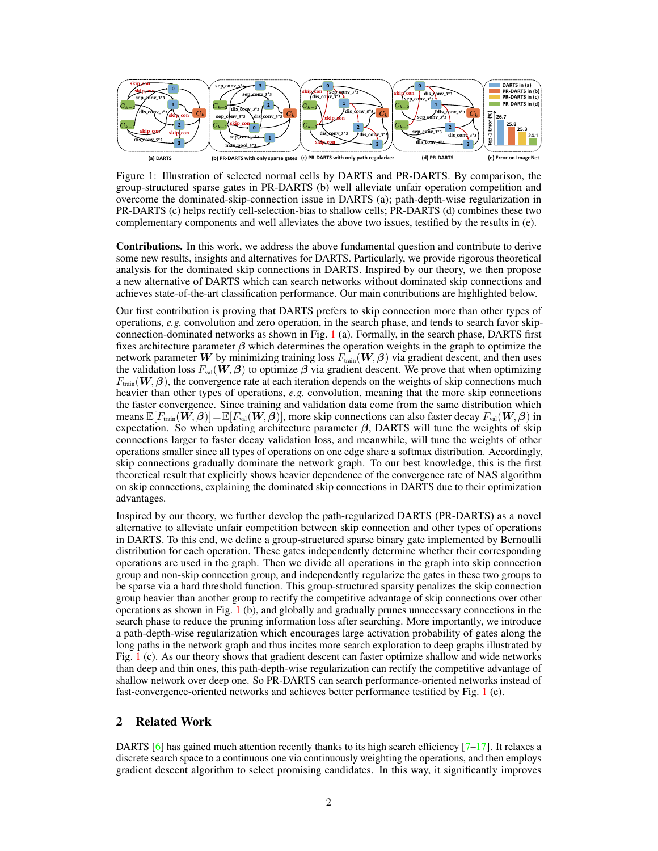<span id="page-1-0"></span>

Figure 1: Illustration of selected normal cells by DARTS and PR-DARTS. By comparison, the group-structured sparse gates in PR-DARTS (b) well alleviate unfair operation competition and overcome the dominated-skip-connection issue in DARTS (a); path-depth-wise regularization in PR-DARTS (c) helps rectify cell-selection-bias to shallow cells; PR-DARTS (d) combines these two complementary components and well alleviates the above two issues, testified by the results in (e).

Contributions. In this work, we address the above fundamental question and contribute to derive some new results, insights and alternatives for DARTS. Particularly, we provide rigorous theoretical analysis for the dominated skip connections in DARTS. Inspired by our theory, we then propose a new alternative of DARTS which can search networks without dominated skip connections and achieves state-of-the-art classification performance. Our main contributions are highlighted below.

Our first contribution is proving that DARTS prefers to skip connection more than other types of operations, *e.g.* convolution and zero operation, in the search phase, and tends to search favor skipconnection-dominated networks as shown in Fig. [1](#page-1-0) (a). Formally, in the search phase, DARTS first fixes architecture parameter  $\beta$  which determines the operation weights in the graph to optimize the network parameter W by minimizing training loss  $F_{\text{train}}(W, \beta)$  via gradient descent, and then uses the validation loss  $F_{\text{val}}(\mathbf{W}, \boldsymbol{\beta})$  to optimize  $\boldsymbol{\beta}$  via gradient descent. We prove that when optimizing  $F_{\text{train}}(\mathbf{W}, \boldsymbol{\beta})$ , the convergence rate at each iteration depends on the weights of skip connections much heavier than other types of operations, *e.g.* convolution, meaning that the more skip connections the faster convergence. Since training and validation data come from the same distribution which means  $\mathbb{E}[F_{\text{train}}(\mathbf{W}, \boldsymbol{\beta})] = \mathbb{E}[F_{\text{val}}(\mathbf{W}, \boldsymbol{\beta})]$ , more skip connections can also faster decay  $F_{\text{val}}(\mathbf{W}, \boldsymbol{\beta})$  in expectation. So when updating architecture parameter  $\beta$ , DARTS will tune the weights of skip connections larger to faster decay validation loss, and meanwhile, will tune the weights of other operations smaller since all types of operations on one edge share a softmax distribution. Accordingly, skip connections gradually dominate the network graph. To our best knowledge, this is the first theoretical result that explicitly shows heavier dependence of the convergence rate of NAS algorithm on skip connections, explaining the dominated skip connections in DARTS due to their optimization advantages.

Inspired by our theory, we further develop the path-regularized DARTS (PR-DARTS) as a novel alternative to alleviate unfair competition between skip connection and other types of operations in DARTS. To this end, we define a group-structured sparse binary gate implemented by Bernoulli distribution for each operation. These gates independently determine whether their corresponding operations are used in the graph. Then we divide all operations in the graph into skip connection group and non-skip connection group, and independently regularize the gates in these two groups to be sparse via a hard threshold function. This group-structured sparsity penalizes the skip connection group heavier than another group to rectify the competitive advantage of skip connections over other operations as shown in Fig. [1](#page-1-0) (b), and globally and gradually prunes unnecessary connections in the search phase to reduce the pruning information loss after searching. More importantly, we introduce a path-depth-wise regularization which encourages large activation probability of gates along the long paths in the network graph and thus incites more search exploration to deep graphs illustrated by Fig. [1](#page-1-0) (c). As our theory shows that gradient descent can faster optimize shallow and wide networks than deep and thin ones, this path-depth-wise regularization can rectify the competitive advantage of shallow network over deep one. So PR-DARTS can search performance-oriented networks instead of fast-convergence-oriented networks and achieves better performance testified by Fig. [1](#page-1-0) (e).

# 2 Related Work

DARTS [\[6\]](#page-9-2) has gained much attention recently thanks to its high search efficiency  $[7-17]$  $[7-17]$ . It relaxes a discrete search space to a continuous one via continuously weighting the operations, and then employs gradient descent algorithm to select promising candidates. In this way, it significantly improves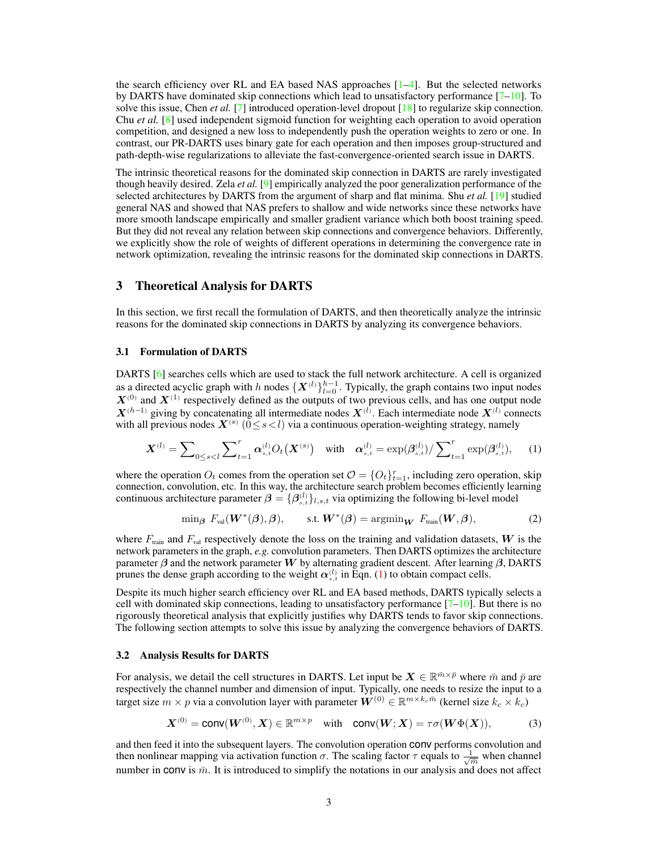the search efficiency over RL and EA based NAS approaches  $[1-4]$  $[1-4]$ . But the selected networks by DARTS have dominated skip connections which lead to unsatisfactory performance [\[7–](#page-9-4)[10\]](#page-9-5). To solve this issue, Chen *et al.* [\[7\]](#page-9-4) introduced operation-level dropout [\[18\]](#page-9-10) to regularize skip connection. Chu *et al.* [\[8\]](#page-9-8) used independent sigmoid function for weighting each operation to avoid operation competition, and designed a new loss to independently push the operation weights to zero or one. In contrast, our PR-DARTS uses binary gate for each operation and then imposes group-structured and path-depth-wise regularizations to alleviate the fast-convergence-oriented search issue in DARTS.

The intrinsic theoretical reasons for the dominated skip connection in DARTS are rarely investigated though heavily desired. Zela *et al.* [\[9\]](#page-9-11) empirically analyzed the poor generalization performance of the selected architectures by DARTS from the argument of sharp and flat minima. Shu *et al.* [\[19\]](#page-10-0) studied general NAS and showed that NAS prefers to shallow and wide networks since these networks have more smooth landscape empirically and smaller gradient variance which both boost training speed. But they did not reveal any relation between skip connections and convergence behaviors. Differently, we explicitly show the role of weights of different operations in determining the convergence rate in network optimization, revealing the intrinsic reasons for the dominated skip connections in DARTS.

# 3 Theoretical Analysis for DARTS

In this section, we first recall the formulation of DARTS, and then theoretically analyze the intrinsic reasons for the dominated skip connections in DARTS by analyzing its convergence behaviors.

## 3.1 Formulation of DARTS

DARTS [\[6\]](#page-9-2) searches cells which are used to stack the full network architecture. A cell is organized as a directed acyclic graph with h nodes  $\{X^{(l)}\}_{l=0}^{h-1}$ . Typically, the graph contains two input nodes  $X^{(0)}$  and  $X^{(1)}$  respectively defined as the outputs of two previous cells, and has one output node  $X^{(h-1)}$  giving by concatenating all intermediate nodes  $X^{(l)}$ . Each intermediate node  $X^{(l)}$  connects with all previous nodes  $X^{(s)}$  ( $0 \le s < l$ ) via a continuous operation-weighting strategy, namely

$$
\mathbf{X}^{(l)} = \sum_{0 \le s < l} \sum_{t=1}^{r} \alpha_{s,t}^{(l)} O_t(\mathbf{X}^{(s)}) \quad \text{with} \quad \alpha_{s,t}^{(l)} = \exp(\beta_{s,t}^{(l)}) / \sum_{t=1}^{r} \exp(\beta_{s,t}^{(l)}), \tag{1}
$$

where the operation  $O_t$  comes from the operation set  $O = \{O_t\}_{t=1}^r$ , including zero operation, skip connection, convolution, etc. In this way, the architecture search problem becomes efficiently learning continuous architecture parameter  $\beta = {\beta_{s,t}^{(l)}}_{l,s,t}$  via optimizing the following bi-level model

<span id="page-2-2"></span><span id="page-2-0"></span>
$$
\min_{\boldsymbol{\beta}} \ F_{\text{val}}(\boldsymbol{W}^*(\boldsymbol{\beta}), \boldsymbol{\beta}), \qquad \text{s.t. } \boldsymbol{W}^*(\boldsymbol{\beta}) = \operatorname{argmin}_{\boldsymbol{W}} \ F_{\text{train}}(\boldsymbol{W}, \boldsymbol{\beta}), \tag{2}
$$

where  $F_{\text{train}}$  and  $F_{\text{val}}$  respectively denote the loss on the training and validation datasets, W is the network parameters in the graph, *e.g.* convolution parameters. Then DARTS optimizes the architecture parameter  $\beta$  and the network parameter W by alternating gradient descent. After learning  $\beta$ , DARTS prunes the dense graph according to the weight  $\alpha_{s,t}^{(l)}$  in Eqn. [\(1\)](#page-2-0) to obtain compact cells.

Despite its much higher search efficiency over RL and EA based methods, DARTS typically selects a cell with dominated skip connections, leading to unsatisfactory performance  $[7-10]$  $[7-10]$ . But there is no rigorously theoretical analysis that explicitly justifies why DARTS tends to favor skip connections. The following section attempts to solve this issue by analyzing the convergence behaviors of DARTS.

#### <span id="page-2-1"></span>3.2 Analysis Results for DARTS

For analysis, we detail the cell structures in DARTS. Let input be  $X \in \mathbb{R}^{\bar{m}\times \bar{p}}$  where  $\bar{m}$  and  $\bar{p}$  are respectively the channel number and dimension of input. Typically, one needs to resize the input to a target size  $m \times p$  via a convolution layer with parameter  $\mathbf{W}^{(0)} \in \mathbb{R}^{m \times k_c \bar{m}}$  (kernel size  $k_c \times k_c$ )

$$
\boldsymbol{X}^{(0)} = \text{conv}(\boldsymbol{W}^{(0)}, \boldsymbol{X}) \in \mathbb{R}^{m \times p} \quad \text{with} \quad \text{conv}(\boldsymbol{W}; \boldsymbol{X}) = \tau \sigma(\boldsymbol{W} \Phi(\boldsymbol{X})), \tag{3}
$$

and then feed it into the subsequent layers. The convolution operation conv performs convolution and then nonlinear mapping via activation function  $\sigma$ . The scaling factor  $\tau$  equals to  $\frac{1}{\sqrt{2}}$  $\frac{1}{\overline{m}}$  when channel number in conv is  $\bar{m}$ . It is introduced to simplify the notations in our analysis and does not affect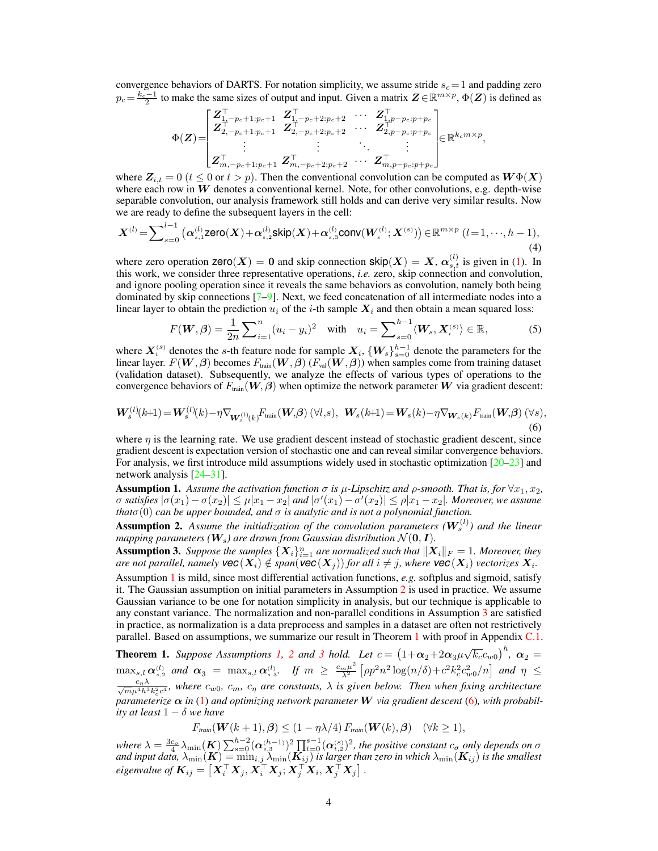convergence behaviors of DARTS. For notation simplicity, we assume stride  $s_c = 1$  and padding zero  $p_c = \frac{k_c - 1}{2}$  to make the same sizes of output and input. Given a matrix  $\mathbf{Z} \in \mathbb{R}^{m \times p}$ ,  $\Phi(\mathbf{Z})$  is defined as

$$
\Phi(\boldsymbol{Z})\!=\!\!\begin{bmatrix} \boldsymbol{Z}_{1,-p_c+1:p_c+1}^\top & \boldsymbol{Z}_{1,-p_c+2:p_c+2}^\top & \cdots & \boldsymbol{Z}_{1,p-p_c:p+p_c}^\top \\ \boldsymbol{Z}_{2,-p_c+1:p_c+1}^\top & \boldsymbol{Z}_{2,-p_c+2:p_c+2}^\top & \cdots & \boldsymbol{Z}_{2,p-p_c:p+p_c}^\top \\ \vdots & \vdots & \ddots & \vdots \\ \boldsymbol{Z}_{m,-p_c+1:p_c+1}^\top & \boldsymbol{Z}_{m,-p_c+2:p_c+2}^\top & \cdots & \boldsymbol{Z}_{m,p-p_c:p+p_c}^\top \end{bmatrix} \!\!\in\! \mathbb{R}^{k_c m \times p},
$$

where  $Z_{i,t} = 0$  ( $t \le 0$  or  $t > p$ ). Then the conventional convolution can be computed as  $W\Phi(X)$ where each row in  $W$  denotes a conventional kernel. Note, for other convolutions, e.g. depth-wise separable convolution, our analysis framework still holds and can derive very similar results. Now we are ready to define the subsequent layers in the cell:

$$
\boldsymbol{X}^{(l)} = \sum\nolimits_{s=0}^{l-1} \left( \alpha_{s,1}^{(l)} \text{zero}(\boldsymbol{X}) + \alpha_{s,2}^{(l)} \text{skip}(\boldsymbol{X}) + \alpha_{s,3}^{(l)} \text{conv}(\boldsymbol{W}_s^{(l)}; \boldsymbol{X}^{(s)}) \right) \in \mathbb{R}^{m \times p} \ (l=1,\cdots,h-1),\tag{4}
$$

where zero operation  $\text{zero}(X) = 0$  and skip connection  $\text{skip}(X) = X$ ,  $\alpha_{s,t}^{(l)}$  is given in [\(1\)](#page-2-0). In this work, we consider three representative operations, *i.e.* zero, skip connection and convolution, and ignore pooling operation since it reveals the same behaviors as convolution, namely both being dominated by skip connections [\[7–](#page-9-4)[9\]](#page-9-11). Next, we feed concatenation of all intermediate nodes into a linear layer to obtain the prediction  $u_i$  of the i-th sample  $X_i$  and then obtain a mean squared loss:

<span id="page-3-5"></span>
$$
F(\boldsymbol{W}, \boldsymbol{\beta}) = \frac{1}{2n} \sum_{i=1}^{n} (u_i - y_i)^2 \quad \text{with} \quad u_i = \sum_{s=0}^{h-1} \langle \boldsymbol{W}_s, \boldsymbol{X}_i^{(s)} \rangle \in \mathbb{R}, \tag{5}
$$

where  $X_i^{(s)}$  denotes the s-th feature node for sample  $X_i$ ,  $\{W_s\}_{s=0}^{h-1}$  denote the parameters for the linear layer.  $F(W, \beta)$  becomes  $F_{\text{train}}(W, \beta)$  ( $F_{\text{val}}(W, \beta)$ ) when samples come from training dataset (validation dataset). Subsequently, we analyze the effects of various types of operations to the convergence behaviors of  $F_{train}(\mathbf{W}, \boldsymbol{\beta})$  when optimize the network parameter  $\mathbf{W}$  via gradient descent:

<span id="page-3-4"></span>
$$
\boldsymbol{W}_{s}^{(l)}(k+1) = \boldsymbol{W}_{s}^{(l)}(k) - \eta \nabla_{\boldsymbol{W}_{s}^{(l)}(k)} F_{\text{train}}(\boldsymbol{W}, \boldsymbol{\beta}) \ (\forall l, s), \ \ \boldsymbol{W}_{s}(k+1) = \boldsymbol{W}_{s}(k) - \eta \nabla_{\boldsymbol{W}_{s}(k)} F_{\text{train}}(\boldsymbol{W}, \boldsymbol{\beta}) \ (\forall s), \tag{6}
$$

where  $\eta$  is the learning rate. We use gradient descent instead of stochastic gradient descent, since gradient descent is expectation version of stochastic one and can reveal similar convergence behaviors. For analysis, we first introduce mild assumptions widely used in stochastic optimization [\[20](#page-10-1)[–23\]](#page-10-2) and network analysis [\[24–](#page-10-3)[31\]](#page-10-4).

<span id="page-3-0"></span>**Assumption 1.** Assume the activation function  $\sigma$  is  $\mu$ -Lipschitz and  $\rho$ -smooth. That is, for  $\forall x_1, x_2$ ,  $\sigma$  satisfies  $|\sigma(x_1)-\sigma(x_2)| \leq \mu |x_1-x_2|$  and  $|\sigma'(x_1)-\sigma'(x_2)| \leq \rho |x_1-x_2|$ . Moreover, we assume *that* $\sigma(0)$  *can be upper bounded, and*  $\sigma$  *is analytic and is not a polynomial function.* 

<span id="page-3-1"></span>**Assumption 2.** Assume the initialization of the convolution parameters  $(W_s^{(l)})$  and the linear *mapping parameters (* $W_s$ *) are drawn from Gaussian distribution*  $N(0, I)$ *.* 

<span id="page-3-2"></span>**Assumption 3.** Suppose the samples  $\{X_i\}_{i=1}^n$  are normalized such that  $\|X_i\|_F = 1$ . Moreover, they are not parallel, namely  $\textsf{vec}(X_i) \notin \textnormal{span}(\textsf{vec}(X_j))$  for all  $i \neq j$ , where  $\textsf{vec}(X_i)$  vectorizes  $X_i$ . Assumption [1](#page-3-0) is mild, since most differential activation functions, *e.g.* softplus and sigmoid, satisfy it. The Gaussian assumption on initial parameters in Assumption [2](#page-3-1) is used in practice. We assume Gaussian variance to be one for notation simplicity in analysis, but our technique is applicable to any constant variance. The normalization and non-parallel conditions in Assumption [3](#page-3-2) are satisfied in practice, as normalization is a data preprocess and samples in a dataset are often not restrictively parallel. Based on assumptions, we summarize our result in Theorem [1](#page-3-3) with proof in Appendix [C.1.](#page-0-0)

<span id="page-3-3"></span>**Theorem 1.** Suppose Assumptions [1,](#page-3-0) [2](#page-3-1) and [3](#page-3-2) hold. Let  $c = (1+\alpha_2+2\alpha_3\mu\sqrt{k_c}c_{w0})^h$ ,  $\alpha_2 =$  $\max_{s,l} \boldsymbol{\alpha}_{s,2}^{(l)}$  and  $\boldsymbol{\alpha}_3$  =  $\max_{s,l} \boldsymbol{\alpha}_{s,3}^{(l)}$ . If  $m \geq \frac{c_m \mu^2}{\lambda^2}$  $\frac{m\mu^2}{\lambda^2} \left[ \rho p^2 n^2 \log(n/\delta) + c^2 k_c^2 c_{w0}^2/n \right]$  and  $\eta \leq$  $\frac{c_n\lambda}{\sqrt{m}\mu^4h^3k_c^2c^4}$ , where  $c_{w0}$ ,  $c_m$ ,  $c_\eta$  are constants,  $\lambda$  is given below. Then when fixing architecture *parameterize*  $\alpha$  *in* [\(1\)](#page-2-0) *and optimizing network parameter* W *via gradient descent* [\(6\)](#page-3-4)*, with probability at least* 1 − δ *we have*

$$
F_{\text{train}}(\mathbf{W}(k+1), \boldsymbol{\beta}) \le (1 - \eta \lambda/4) F_{\text{train}}(\mathbf{W}(k), \boldsymbol{\beta}) \quad (\forall k \ge 1),
$$

where  $\lambda = \frac{3c_{\sigma}}{4} \lambda_{\min}(\boldsymbol{K}) \sum_{s=0}^{h-2} (\boldsymbol{\alpha}_{s,3}^{(h-1)})^2 \prod_{t=0}^{s-1} (\boldsymbol{\alpha}_{t,2}^{(s)})^2$ , the positive constant  $c_{\sigma}$  only depends on  $\sigma$ and input data,  $\lambda_{\min}(\bm{K})=\min_{i,j}\lambda_{\min}(\bm{K}_{ij})$  is larger than zero in which  $\lambda_{\min}(\bm{K}_{ij})$  is the smallest eigenvalue of  $\bm{K}_{ij} = \left[ \bm{X}_i^\top \bm{X}_j, \bm{X}_i^\top \bm{X}_j; \bm{X}_j^\top \bm{X}_i, \bm{X}_j^\top \bm{X}_j \right]$  .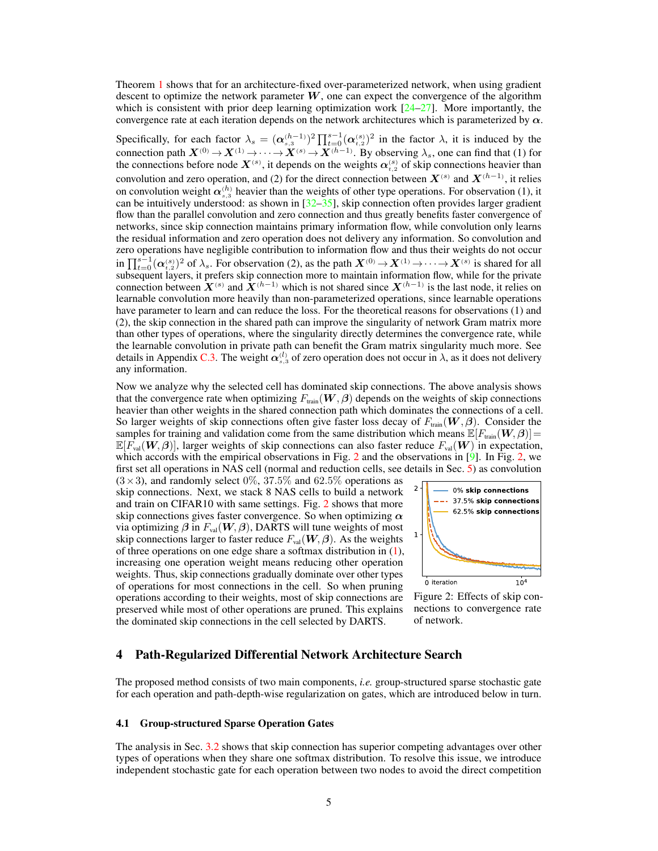Theorem [1](#page-3-3) shows that for an architecture-fixed over-parameterized network, when using gradient descent to optimize the network parameter  $W$ , one can expect the convergence of the algorithm which is consistent with prior deep learning optimization work  $[24-27]$  $[24-27]$ . More importantly, the convergence rate at each iteration depends on the network architectures which is parameterized by  $\alpha$ .

Specifically, for each factor  $\lambda_s = (\alpha_{s,3}^{(h-1)})^2 \prod_{t=0}^{s-1} (\alpha_{t,2}^{(s)})^2$  in the factor  $\lambda$ , it is induced by the connection path  $X^{(0)} \to X^{(1)} \to \cdots \to X^{(s)} \to X^{(h-1)}$ . By observing  $\lambda_s$ , one can find that (1) for the connections before node  $X^{(s)}$ , it depends on the weights  $\alpha_{t,2}^{(s)}$  of skip connections heavier than convolution and zero operation, and (2) for the direct connection between  $X^{(s)}$  and  $X^{(h-1)}$ , it relies on convolution weight  $\alpha_{s,3}^{(h)}$  heavier than the weights of other type operations. For observation (1), it can be intuitively understood: as shown in  $[32–35]$  $[32–35]$ , skip connection often provides larger gradient flow than the parallel convolution and zero connection and thus greatly benefits faster convergence of networks, since skip connection maintains primary information flow, while convolution only learns the residual information and zero operation does not delivery any information. So convolution and zero operations have negligible contribution to information flow and thus their weights do not occur in  $\prod_{t=0}^{s-1} (\alpha_{t,2}^{(s)})^2$  of  $\lambda_s$ . For observation (2), as the path  $X^{(0)} \to X^{(1)} \to \cdots \to X^{(s)}$  is shared for all subsequent layers, it prefers skip connection more to maintain information flow, while for the private connection between  $\hat{X}^{(s)}$  and  $\hat{X}^{(h-1)}$  which is not shared since  $X^{(h-1)}$  is the last node, it relies on learnable convolution more heavily than non-parameterized operations, since learnable operations have parameter to learn and can reduce the loss. For the theoretical reasons for observations (1) and (2), the skip connection in the shared path can improve the singularity of network Gram matrix more than other types of operations, where the singularity directly determines the convergence rate, while the learnable convolution in private path can benefit the Gram matrix singularity much more. See details in Appendix [C.3.](#page-0-0) The weight  $\alpha_{s,3}^{(l)}$  of zero operation does not occur in  $\lambda$ , as it does not delivery any information.

Now we analyze why the selected cell has dominated skip connections. The above analysis shows that the convergence rate when optimizing  $F_{\text{train}}(\mathbf{W}, \boldsymbol{\beta})$  depends on the weights of skip connections heavier than other weights in the shared connection path which dominates the connections of a cell. So larger weights of skip connections often give faster loss decay of  $F_{train}(W, \beta)$ . Consider the samples for training and validation come from the same distribution which means  $\mathbb{E}[F_{\text{train}}(\mathbf{W}, \boldsymbol{\beta})]$  $\mathbb{E}[F_{\text{val}}(\boldsymbol{W}, \boldsymbol{\beta})]$ , larger weights of skip connections can also faster reduce  $F_{\text{val}}(\boldsymbol{W})$  in expectation, which accords with the empirical observations in Fig. [2](#page-4-0) and the observations in  $[9]$ . In Fig. [2,](#page-4-0) we first set all operations in NAS cell (normal and reduction cells, see details in Sec. [5\)](#page-7-0) as convolution

 $(3\times3)$ , and randomly select 0%, 37.5% and 62.5% operations as skip connections. Next, we stack 8 NAS cells to build a network and train on CIFAR10 with same settings. Fig. [2](#page-4-0) shows that more skip connections gives faster convergence. So when optimizing  $\alpha$ via optimizing  $\beta$  in  $F_{val}(W, \beta)$ , DARTS will tune weights of most skip connections larger to faster reduce  $F_{val}(W, \beta)$ . As the weights of three operations on one edge share a softmax distribution in [\(1\)](#page-2-0), increasing one operation weight means reducing other operation weights. Thus, skip connections gradually dominate over other types of operations for most connections in the cell. So when pruning operations according to their weights, most of skip connections are preserved while most of other operations are pruned. This explains the dominated skip connections in the cell selected by DARTS.

<span id="page-4-0"></span>

Figure 2: Effects of skip connections to convergence rate of network.

# 4 Path-Regularized Differential Network Architecture Search

The proposed method consists of two main components, *i.e.* group-structured sparse stochastic gate for each operation and path-depth-wise regularization on gates, which are introduced below in turn.

#### 4.1 Group-structured Sparse Operation Gates

The analysis in Sec. [3.2](#page-2-1) shows that skip connection has superior competing advantages over other types of operations when they share one softmax distribution. To resolve this issue, we introduce independent stochastic gate for each operation between two nodes to avoid the direct competition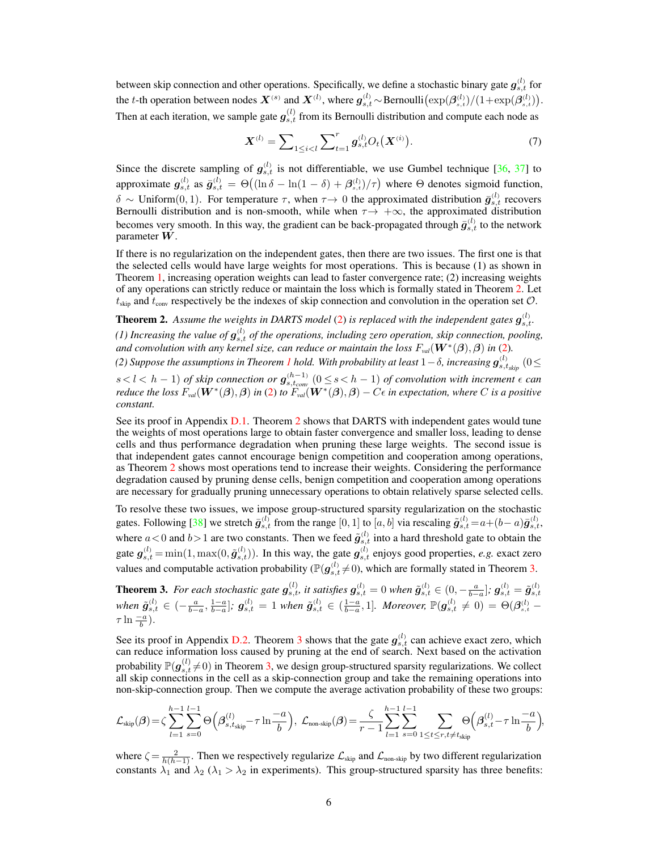between skip connection and other operations. Specifically, we define a stochastic binary gate  $g_{s,t}^{(l)}$  for the t-th operation between nodes  $X^{(s)}$  and  $X^{(l)}$ , where  $g_{s,t}^{(l)} \sim$  Bernoulli $(\exp(\beta_{s,t}^{(l)})/(1+\exp(\beta_{s,t}^{(l)}))$ . Then at each iteration, we sample gate  $g_{s,t}^{(l)}$  from its Bernoulli distribution and compute each node as

<span id="page-5-2"></span>
$$
\mathbf{X}^{(l)} = \sum_{1 \le i < l} \sum_{t=1}^{r} \mathbf{g}_{s,t}^{(l)} O_t(\mathbf{X}^{(i)}). \tag{7}
$$

Since the discrete sampling of  $g_{s,t}^{(l)}$  is not differentiable, we use Gumbel technique [\[36,](#page-10-8) [37\]](#page-10-9) to approximate  $g_{s,t}^{(l)}$  as  $\bar{g}_{s,t}^{(l)} = \Theta((\ln \delta - \ln(1-\delta) + \beta_{s,t}^{(l)})/\tau)$  where  $\Theta$  denotes sigmoid function, δ ~ Uniform(0, 1). For temperature  $\tau$ , when  $\tau \to 0$  the approximated distribution  $\bar{g}^{(l)}_{s,t}$  recovers Bernoulli distribution and is non-smooth, while when  $\tau \rightarrow +\infty$ , the approximated distribution becomes very smooth. In this way, the gradient can be back-propagated through  $\bar{g}^{(l)}_{s,t}$  to the network parameter W.

If there is no regularization on the independent gates, then there are two issues. The first one is that the selected cells would have large weights for most operations. This is because (1) as shown in Theorem [1,](#page-3-3) increasing operation weights can lead to faster convergence rate; (2) increasing weights of any operations can strictly reduce or maintain the loss which is formally stated in Theorem [2.](#page-5-0) Let  $t_{skip}$  and  $t_{conv}$  respectively be the indexes of skip connection and convolution in the operation set  $\mathcal{O}$ .

<span id="page-5-0"></span>**Theorem 2.** Assume the weights in DARTS model [\(2\)](#page-2-2) is replaced with the independent gates  $g_{s,t}^{(l)}$ . (1) Increasing the value of  $g_{s,t}^{(l)}$  of the operations, including zero operation, skip connection, pooling, and convolution with any kernel size, can reduce or maintain the loss  $F_{val}(\bm{W}^{*}(\bm{\beta}), \bm{\beta})$  in [\(2\)](#page-2-2).

(2) Suppose the assumptions in Theorem [1](#page-3-3) hold. With probability at least  $1-\delta$ , increasing  $\bm{g}_{s,t_{skip}}^{(l)}$   $(0$   $\leq$ 

 $s < l < h − 1$ ) of skip connection or  $g_{s,t_{com}}^{(h-1)}$  ( $0 ≤ s < h − 1$ ) of convolution with increment  $\epsilon$  can *reduce the loss*  $F_{val}(\bm{W}^{*}(\bm{\beta}), \bm{\beta})$  *in* [\(2\)](#page-2-2) *to*  $F_{val}(\bm{W}^{*}(\bm{\beta}), \bm{\beta}) - C\epsilon$  *in expectation, where* C *is a positive constant.*

See its proof in Appendix [D.1.](#page-0-0) Theorem [2](#page-5-0) shows that DARTS with independent gates would tune the weights of most operations large to obtain faster convergence and smaller loss, leading to dense cells and thus performance degradation when pruning these large weights. The second issue is that independent gates cannot encourage benign competition and cooperation among operations, as Theorem [2](#page-5-0) shows most operations tend to increase their weights. Considering the performance degradation caused by pruning dense cells, benign competition and cooperation among operations are necessary for gradually pruning unnecessary operations to obtain relatively sparse selected cells.

To resolve these two issues, we impose group-structured sparsity regularization on the stochastic gates. Following [\[38\]](#page-10-10) we stretch  $\bar{g}^{(l)}_{s,t}$  from the range  $[0,1]$  to  $[a,b]$  via rescaling  $\tilde{g}^{(l)}_{s,t} = a + (b-a)\bar{g}^{(l)}_{s,t}$ , where  $a < 0$  and  $b > 1$  are two constants. Then we feed  $\tilde{g}^{(l)}_{s,t}$  into a hard threshold gate to obtain the gate  $g_{s,t}^{(l)} = \min(1, \max(0, \tilde{g}_{s,t}^{(l)}))$ . In this way, the gate  $g_{s,t}^{(l)}$  enjoys good properties, *e.g.* exact zero values and computable activation probability ( $\mathbb{P}(\bm{g}^{(l)}_{s,t} \neq 0)$ , which are formally stated in Theorem [3.](#page-5-1)

<span id="page-5-1"></span>**Theorem 3.** For each stochastic gate  $g_{s,t}^{(l)}$  it satisfies  $g_{s,t}^{(l)} = 0$  when  $\tilde{g}_{s,t}^{(l)} \in (0, -\frac{a}{b-a}]$ ;  $g_{s,t}^{(l)} = \tilde{g}_{s,t}^{(l)}$  $\hat{\mathbf{g}}_{s,t}^{(l)} \in (-\frac{a}{b-a}, \frac{1-a}{b-a}]$ ;  $\mathbf{g}_{s,t}^{(l)} = 1$  when  $\tilde{\mathbf{g}}_{s,t}^{(l)} \in (\frac{1-a}{b-a}, 1]$ . Moreover,  $\mathbb{P}(\mathbf{g}_{s,t}^{(l)} \neq 0) = \Theta(\beta_{s,t}^{(l)} - 1)$  $\tau \ln \frac{-a}{b}$ ).

See its proof in Appendix [D.2.](#page-0-0) Theorem [3](#page-5-1) shows that the gate  $g_{s,t}^{(l)}$  can achieve exact zero, which can reduce information loss caused by pruning at the end of search. Next based on the activation probability  $\mathbb{P}(\bm{g}_{s,t}^{(l)}\neq0)$  in Theorem [3,](#page-5-1) we design group-structured sparsity regularizations. We collect all skip connections in the cell as a skip-connection group and take the remaining operations into non-skip-connection group. Then we compute the average activation probability of these two groups:

$$
\mathcal{L}_{skip}(\beta) = \zeta \sum_{l=1}^{h-1} \sum_{s=0}^{l-1} \Theta\Big(\beta_{s,t_{skip}}^{(l)} - \tau \ln \frac{-a}{b}\Big), \ \mathcal{L}_{non-skip}(\beta) = \frac{\zeta}{r-1} \sum_{l=1}^{h-1} \sum_{s=0}^{l-1} \sum_{1 \leq t \leq r, t \neq t_{skip}} \Theta\Big(\beta_{s,t}^{(l)} - \tau \ln \frac{-a}{b}\Big),
$$

where  $\zeta = \frac{2}{h(h-1)}$ . Then we respectively regularize  $\mathcal{L}_{skip}$  and  $\mathcal{L}_{non-skip}$  by two different regularization constants  $\lambda_1$  and  $\lambda_2$  ( $\lambda_1 > \lambda_2$  in experiments). This group-structured sparsity has three benefits: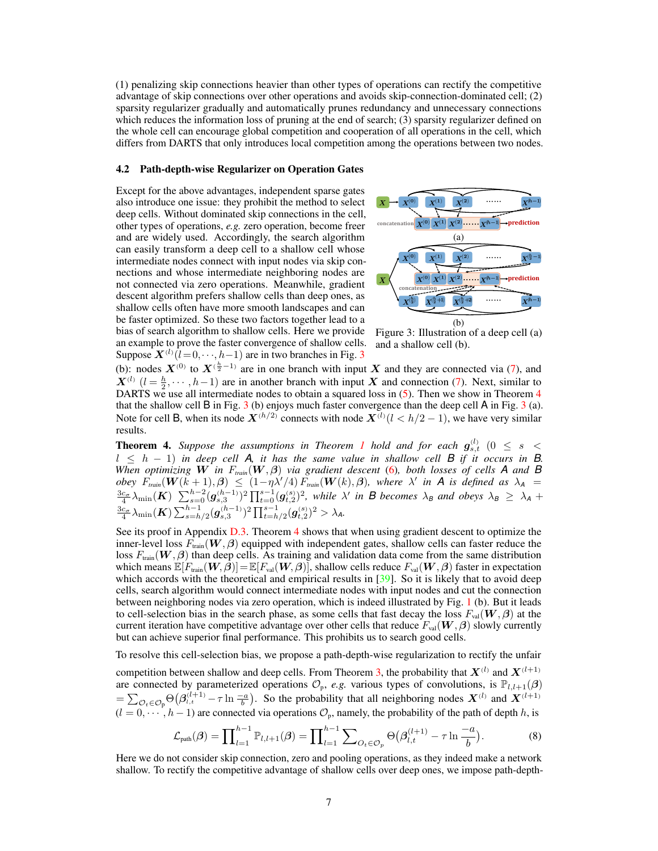(1) penalizing skip connections heavier than other types of operations can rectify the competitive advantage of skip connections over other operations and avoids skip-connection-dominated cell; (2) sparsity regularizer gradually and automatically prunes redundancy and unnecessary connections which reduces the information loss of pruning at the end of search; (3) sparsity regularizer defined on the whole cell can encourage global competition and cooperation of all operations in the cell, which differs from DARTS that only introduces local competition among the operations between two nodes.

#### 4.2 Path-depth-wise Regularizer on Operation Gates

Except for the above advantages, independent sparse gates also introduce one issue: they prohibit the method to select deep cells. Without dominated skip connections in the cell, other types of operations, *e.g.* zero operation, become freer and are widely used. Accordingly, the search algorithm can easily transform a deep cell to a shallow cell whose intermediate nodes connect with input nodes via skip connections and whose intermediate neighboring nodes are not connected via zero operations. Meanwhile, gradient descent algorithm prefers shallow cells than deep ones, as shallow cells often have more smooth landscapes and can be faster optimized. So these two factors together lead to a bias of search algorithm to shallow cells. Here we provide an example to prove the faster convergence of shallow cells. Suppose  $\mathbf{X}^{(l)}$   $(l=0,\dots,h-1)$  are in two branches in Fig. [3](#page-6-0)

<span id="page-6-0"></span>

Figure 3: Illustration of a deep cell (a) and a shallow cell (b).

(b): nodes  $X^{(0)}$  to  $X^{(\frac{h}{2}-1)}$  are in one branch with input X and they are connected via [\(7\)](#page-5-2), and  $X^{(l)}$   $(l = \frac{h}{2}, \dots, h-1)$  are in another branch with input X and connection [\(7\)](#page-5-2). Next, similar to DARTS we use all intermediate nodes to obtain a squared loss in [\(5\)](#page-3-5). Then we show in Theorem [4](#page-6-1) that the shallow cell  $B$  in Fig. [3](#page-6-0) (b) enjoys much faster convergence than the deep cell  $A$  in Fig. 3 (a). Note for cell B, when its node  $X^{(h/2)}$  connects with node  $X^{(l)}(l < h/2 - 1)$ , we have very similar results.

<span id="page-6-1"></span>**Theorem 4.** Suppose the assumptions in Theorem [1](#page-3-3) hold and for each  $g_{s,t}^{(l)}$  ( $0 \leq s <$  $l \leq h - 1$ ) in deep cell A, it has the same value in shallow cell B if it occurs in B. *When optimizing* W *in* F*train*(W, β) *via gradient descent* [\(6\)](#page-3-4)*, both losses of cells A and B*  $\delta$ *obey*  $F_{train}(W(k+1), \beta) \leq (1 - \eta \lambda'/4) F_{train}(W(k), \beta)$ , where  $\lambda'$  in A is defined as  $\lambda_A =$  $\frac{3c_{\sigma}}{4}\lambda_{\min}(\boldsymbol{K})$   $\sum_{s=0}^{h-2}(\boldsymbol{g}_{s,3}^{(h-1)})^2\prod_{t=0}^{s-1}(\boldsymbol{g}_{t,2}^{(s)})^2$ , while  $\lambda'$  in **B** becomes  $\lambda_B$  and obeys  $\lambda_B \geq \lambda_A +$  $\frac{3c_{\sigma}}{4}\lambda_{\min}(\boldsymbol{K})\sum_{s=h/2}^{h-1}(g_{s,3}^{(h-1)})^2\prod_{t=h/2}^{s-1}(g_{t,2}^{(s)})^2>\lambda_{A}.$ 

See its proof in Appendix [D.3.](#page-0-0) Theorem [4](#page-6-1) shows that when using gradient descent to optimize the inner-level loss  $F_{\text{train}}(\mathbf{W}, \boldsymbol{\beta})$  equipped with independent gates, shallow cells can faster reduce the loss  $F_{\text{train}}(\mathbf{W}, \beta)$  than deep cells. As training and validation data come from the same distribution which means  $\mathbb{E}[F_{\text{train}}(\mathbf{W}, \boldsymbol{\beta})] = \mathbb{E}[F_{\text{val}}(\mathbf{W}, \boldsymbol{\beta})]$ , shallow cells reduce  $F_{\text{val}}(\mathbf{W}, \boldsymbol{\beta})$  faster in expectation which accords with the theoretical and empirical results in  $[39]$ . So it is likely that to avoid deep cells, search algorithm would connect intermediate nodes with input nodes and cut the connection between neighboring nodes via zero operation, which is indeed illustrated by Fig. [1](#page-1-0) (b). But it leads to cell-selection bias in the search phase, as some cells that fast decay the loss  $F_{val}(\mathbf{W}, \boldsymbol{\beta})$  at the current iteration have competitive advantage over other cells that reduce  $F_{\text{val}}(\mathbf{W}, \boldsymbol{\beta})$  slowly currently but can achieve superior final performance. This prohibits us to search good cells.

To resolve this cell-selection bias, we propose a path-depth-wise regularization to rectify the unfair

competition between shallow and deep cells. From Theorem [3,](#page-5-1) the probability that  $X^{(l)}$  and  $X^{(l+1)}$ are connected by parameterized operations  $\mathcal{O}_p$ , *e.g.* various types of convolutions, is  $\mathbb{P}_{l,l+1}(\beta)$  $=\sum_{\mathcal{O}_t \in \mathcal{O}_p} \Theta(\beta_{i,t}^{(l+1)} - \tau \ln \frac{-a}{b})$ . So the probability that all neighboring nodes  $X^{(l)}$  and  $X^{(l+1)}$  $(l = 0, \dots, h-1)$  are connected via operations  $\mathcal{O}_p$ , namely, the probability of the path of depth h, is

<span id="page-6-2"></span>
$$
\mathcal{L}_{\text{path}}(\boldsymbol{\beta}) = \prod_{l=1}^{h-1} \mathbb{P}_{l,l+1}(\boldsymbol{\beta}) = \prod_{l=1}^{h-1} \sum_{O_t \in \mathcal{O}_p} \Theta(\beta_{l,t}^{(l+1)} - \tau \ln \frac{-a}{b}). \tag{8}
$$

Here we do not consider skip connection, zero and pooling operations, as they indeed make a network shallow. To rectify the competitive advantage of shallow cells over deep ones, we impose path-depth-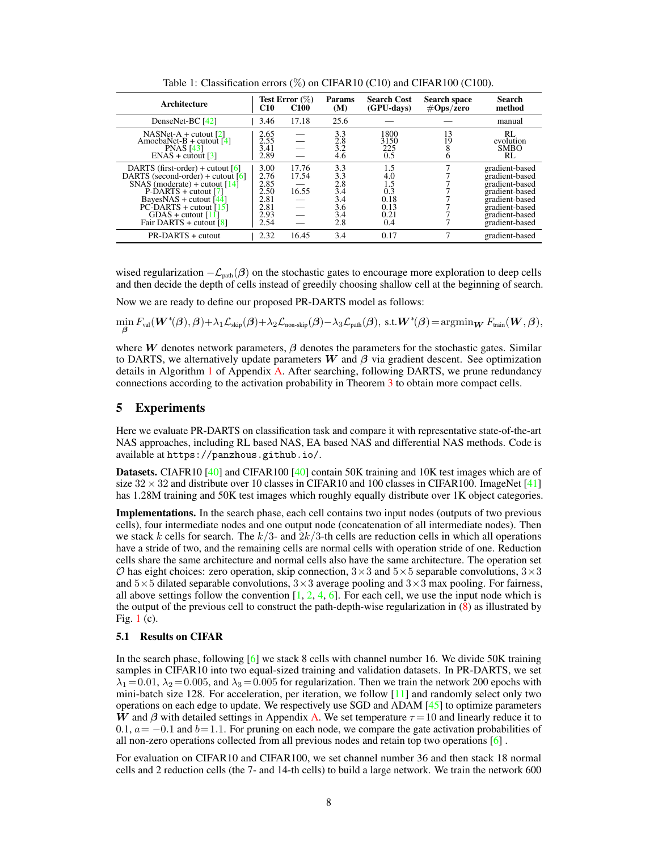<span id="page-7-1"></span>

| Architecture                                                                                                                                                                                                                                                   | C10                                                          | Test Error $(\%)$<br><b>C100</b> | <b>Params</b><br>(M)                                 | <b>Search Cost</b><br>(GPU-days)                        | Search space<br>$\# \mathbf{Ops}/\bar{\mathbf{zero}}$ | <b>Search</b><br>method                                                                                                                      |
|----------------------------------------------------------------------------------------------------------------------------------------------------------------------------------------------------------------------------------------------------------------|--------------------------------------------------------------|----------------------------------|------------------------------------------------------|---------------------------------------------------------|-------------------------------------------------------|----------------------------------------------------------------------------------------------------------------------------------------------|
| DenseNet-BC [42]                                                                                                                                                                                                                                               | 3.46                                                         | 17.18                            | 25.6                                                 |                                                         |                                                       | manual                                                                                                                                       |
| $NASNet-A + cutout [2]$<br>AmoebaNet-B + cutout $[4]$<br><b>PNAS</b> [43]<br>$ENAS + \text{cutout}$ [3]                                                                                                                                                        | 2.65<br>2.55<br>3.41<br>2.89                                 |                                  | 3.3<br>2.8<br>3.2<br>4.6                             | 1800<br>3150<br>225<br>0.5                              | 13<br>19                                              | RL<br>evolution<br><b>SMBO</b><br>RL                                                                                                         |
| DARTS (first-order) + cutout $[6]$<br>DARTS (second-order) + cutout $[6]$<br>SNAS (moderate) + cutout $[14]$<br>P-DARTS + cutout [7]<br>BayesNAS + cutout $[44]$<br>$PC$ -DARTS + cutout [15]<br>GDAS + cutout $[11]$<br>Fair DARTS + cutout $\lceil 8 \rceil$ | 3.00<br>2.76<br>2.85<br>2.50<br>2.81<br>2.81<br>2.93<br>2.54 | 17.76<br>17.54<br>16.55          | 3.3<br>3.3<br>2.8<br>3.4<br>3.4<br>3.6<br>3.4<br>2.8 | 1.5<br>4.0<br>1.5<br>0.3<br>0.18<br>0.13<br>0.21<br>0.4 |                                                       | gradient-based<br>gradient-based<br>gradient-based<br>gradient-based<br>gradient-based<br>gradient-based<br>gradient-based<br>gradient-based |
| PR-DARTS + cutout                                                                                                                                                                                                                                              | 2.32                                                         | 16.45                            | 3.4                                                  | 0.17                                                    |                                                       | gradient-based                                                                                                                               |

Table 1: Classification errors  $(\%)$  on CIFAR10 (C10) and CIFAR100 (C100).

wised regularization  $-\mathcal{L}_{\text{path}}(\beta)$  on the stochastic gates to encourage more exploration to deep cells and then decide the depth of cells instead of greedily choosing shallow cell at the beginning of search.

Now we are ready to define our proposed PR-DARTS model as follows:

 $\min_{\boldsymbol{\beta}} F_{\mathrm{val}}(\boldsymbol{W}^{*}(\boldsymbol{\beta}),\boldsymbol{\beta}) + \lambda_1 \mathcal{L}_{\mathrm{skip}}(\boldsymbol{\beta}) + \lambda_2 \mathcal{L}_{\mathrm{non-skip}}(\boldsymbol{\beta}) - \lambda_3 \mathcal{L}_{\mathrm{path}}(\boldsymbol{\beta}), \text{ s.t.} \boldsymbol{W}^{*}(\boldsymbol{\beta})\!=\! \mathrm{argmin}_{\boldsymbol{W}} F_{\mathrm{train}}(\boldsymbol{W},\boldsymbol{\beta}),$ 

where W denotes network parameters,  $\beta$  denotes the parameters for the stochastic gates. Similar to DARTS, we alternatively update parameters W and  $\beta$  via gradient descent. See optimization details in Algorithm [1](#page-0-0) of Appendix [A.](#page-0-0) After searching, following DARTS, we prune redundancy connections according to the activation probability in Theorem [3](#page-5-1) to obtain more compact cells.

## <span id="page-7-0"></span>5 Experiments

Here we evaluate PR-DARTS on classification task and compare it with representative state-of-the-art NAS approaches, including RL based NAS, EA based NAS and differential NAS methods. Code is available at <https://panzhous.github.io/>.

Datasets. CIAFR10 [\[40\]](#page-10-12) and CIFAR100 [\[40\]](#page-10-12) contain 50K training and 10K test images which are of size  $32 \times 32$  and distribute over 10 classes in CIFAR10 and 100 classes in CIFAR100. ImageNet [\[41\]](#page-11-3) has 1.28M training and 50K test images which roughly equally distribute over 1K object categories.

Implementations. In the search phase, each cell contains two input nodes (outputs of two previous cells), four intermediate nodes and one output node (concatenation of all intermediate nodes). Then we stack k cells for search. The  $k/3$ - and  $2k/3$ -th cells are reduction cells in which all operations have a stride of two, and the remaining cells are normal cells with operation stride of one. Reduction cells share the same architecture and normal cells also have the same architecture. The operation set  $\mathcal O$  has eight choices: zero operation, skip connection,  $3\times 3$  and  $5\times 5$  separable convolutions,  $3\times 3$ and  $5\times 5$  dilated separable convolutions,  $3\times 3$  average pooling and  $3\times 3$  max pooling. For fairness, all above settings follow the convention  $[1, 2, 4, 6]$  $[1, 2, 4, 6]$  $[1, 2, 4, 6]$  $[1, 2, 4, 6]$  $[1, 2, 4, 6]$  $[1, 2, 4, 6]$  $[1, 2, 4, 6]$ . For each cell, we use the input node which is the output of the previous cell to construct the path-depth-wise regularization in [\(8\)](#page-6-2) as illustrated by Fig. [1](#page-1-0) (c).

#### <span id="page-7-2"></span>5.1 Results on CIFAR

In the search phase, following [\[6\]](#page-9-2) we stack 8 cells with channel number 16. We divide 50K training samples in CIFAR10 into two equal-sized training and validation datasets. In PR-DARTS, we set  $\lambda_1 = 0.01$ ,  $\lambda_2 = 0.005$ , and  $\lambda_3 = 0.005$  for regularization. Then we train the network 200 epochs with mini-batch size 128. For acceleration, per iteration, we follow  $[11]$  and randomly select only two operations on each edge to update. We respectively use SGD and ADAM [\[45\]](#page-11-4) to optimize parameters W and  $\beta$  with detailed settings in Appendix [A.](#page-0-0) We set temperature  $\tau = 10$  and linearly reduce it to 0.1,  $a = -0.1$  and  $b = 1.1$ . For pruning on each node, we compare the gate activation probabilities of all non-zero operations collected from all previous nodes and retain top two operations [\[6\]](#page-9-2) .

For evaluation on CIFAR10 and CIFAR100, we set channel number 36 and then stack 18 normal cells and 2 reduction cells (the 7- and 14-th cells) to build a large network. We train the network 600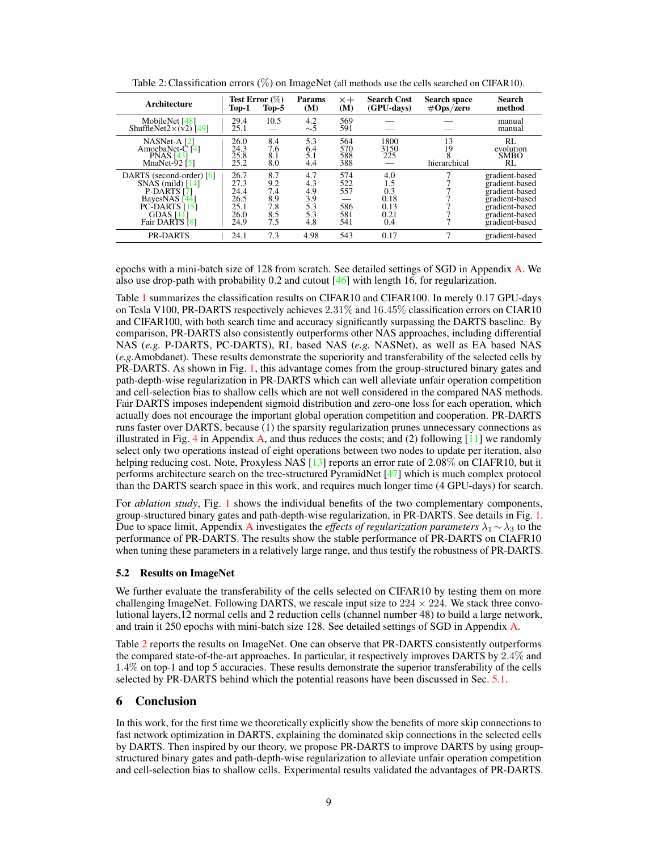| Architecture                                                                                                                               | Top-1                                                | <b>Test Error</b> $(\%)$<br>Top-5             | Params<br>(M)                                 | $\times +$<br>(M)                      | <b>Search Cost</b><br>(GPU-days)                 | <b>Search space</b><br>$\#Ops$ /zero | <b>Search</b><br>method                                                                                                    |
|--------------------------------------------------------------------------------------------------------------------------------------------|------------------------------------------------------|-----------------------------------------------|-----------------------------------------------|----------------------------------------|--------------------------------------------------|--------------------------------------|----------------------------------------------------------------------------------------------------------------------------|
| MobileNet [48]<br>ShuffleNet2 $\times$ (v2)[49]                                                                                            | 29.4<br>25.1                                         | 10.5                                          | 4.2<br>$\sim$ 5                               | 569<br>591                             |                                                  |                                      | manual<br>manual                                                                                                           |
| NASNet-A <sub>[2]</sub><br>AmoebaNet-C [4]<br><b>PNAS [43]</b><br>MnaNet-92 $[5]$                                                          | 26.0<br>24.3<br>25.8<br>25.2                         | 8.4<br>7.6<br>8.1<br>8.0                      | 5.3<br>6.4<br>5.1<br>4.4                      | 564<br>570<br>588<br>388               | 1800<br>3150<br>225                              | 13<br>19<br>hierarchical             | RL<br>evolution<br><b>SMBO</b><br>RL                                                                                       |
| DARTS (second-order) [6]<br>$SNAS$ (mild) $[14]$<br>P-DARTS [7]<br>BayesNAS [44]<br>$PC$ -DARTS [15]<br><b>GDAS</b> [11]<br>Fair DARTS [8] | 26.7<br>27.3<br>24.4<br>26.5<br>25.1<br>26.0<br>24.9 | 8.7<br>9.2<br>7.4<br>8.9<br>7.8<br>8.5<br>7.5 | 4.7<br>4.3<br>4.9<br>3.9<br>5.3<br>5.3<br>4.8 | 574<br>522<br>557<br>586<br>581<br>541 | 4.0<br>1.5<br>0.3<br>0.18<br>0.13<br>0.21<br>0.4 |                                      | gradient-based<br>gradient-based<br>gradient-based<br>gradient-based<br>gradient-based<br>gradient-based<br>gradient-based |
| <b>PR-DARTS</b>                                                                                                                            | 24.1                                                 | 7.3                                           | 4.98                                          | 543                                    | 0.17                                             | 7                                    | gradient-based                                                                                                             |

<span id="page-8-0"></span>Table 2: Classification errors (%) on ImageNet (all methods use the cells searched on CIFAR10).

epochs with a mini-batch size of 128 from scratch. See detailed settings of SGD in Appendix [A.](#page-0-0) We also use drop-path with probability 0.2 and cutout [\[46\]](#page-11-7) with length 16, for regularization.

Table [1](#page-7-1) summarizes the classification results on CIFAR10 and CIFAR100. In merely 0.17 GPU-days on Tesla V100, PR-DARTS respectively achieves 2.31% and 16.45% classification errors on CIAR10 and CIFAR100, with both search time and accuracy significantly surpassing the DARTS baseline. By comparison, PR-DARTS also consistently outperforms other NAS approaches, including differential NAS (*e.g.* P-DARTS, PC-DARTS), RL based NAS (*e.g.* NASNet), as well as EA based NAS (*e.g.*Amobdanet). These results demonstrate the superiority and transferability of the selected cells by PR-DARTS. As shown in Fig. [1,](#page-1-0) this advantage comes from the group-structured binary gates and path-depth-wise regularization in PR-DARTS which can well alleviate unfair operation competition and cell-selection bias to shallow cells which are not well considered in the compared NAS methods. Fair DARTS imposes independent sigmoid distribution and zero-one loss for each operation, which actually does not encourage the important global operation competition and cooperation. PR-DARTS runs faster over DARTS, because (1) the sparsity regularization prunes unnecessary connections as illustrated in Fig. [4](#page-4-0) in Appendix [A,](#page-0-0) and thus reduces the costs; and (2) following  $[11]$  we randomly select only two operations instead of eight operations between two nodes to update per iteration, also helping reducing cost. Note, Proxyless NAS [\[13\]](#page-9-16) reports an error rate of 2.08% on CIAFR10, but it performs architecture search on the tree-structured PyramidNet [\[47\]](#page-11-8) which is much complex protocol than the DARTS search space in this work, and requires much longer time (4 GPU-days) for search.

For *ablation study*, Fig. [1](#page-1-0) shows the individual benefits of the two complementary components, group-structured binary gates and path-depth-wise regularization, in PR-DARTS. See details in Fig. [1.](#page-1-0) Due to space limit, [A](#page-0-0)ppendix A investigates the *effects of regularization parameters*  $\lambda_1 \sim \lambda_3$  to the performance of PR-DARTS. The results show the stable performance of PR-DARTS on CIAFR10 when tuning these parameters in a relatively large range, and thus testify the robustness of PR-DARTS.

### 5.2 Results on ImageNet

We further evaluate the transferability of the cells selected on CIFAR10 by testing them on more challenging ImageNet. Following DARTS, we rescale input size to  $224 \times 224$ . We stack three convolutional layers,12 normal cells and 2 reduction cells (channel number 48) to build a large network, and train it 250 epochs with mini-batch size 128. See detailed settings of SGD in Appendix [A.](#page-0-0)

Table [2](#page-8-0) reports the results on ImageNet. One can observe that PR-DARTS consistently outperforms the compared state-of-the-art approaches. In particular, it respectively improves DARTS by 2.4% and 1.4% on top-1 and top 5 accuracies. These results demonstrate the superior transferability of the cells selected by PR-DARTS behind which the potential reasons have been discussed in Sec. [5.1.](#page-7-2)

## 6 Conclusion

In this work, for the first time we theoretically explicitly show the benefits of more skip connections to fast network optimization in DARTS, explaining the dominated skip connections in the selected cells by DARTS. Then inspired by our theory, we propose PR-DARTS to improve DARTS by using groupstructured binary gates and path-depth-wise regularization to alleviate unfair operation competition and cell-selection bias to shallow cells. Experimental results validated the advantages of PR-DARTS.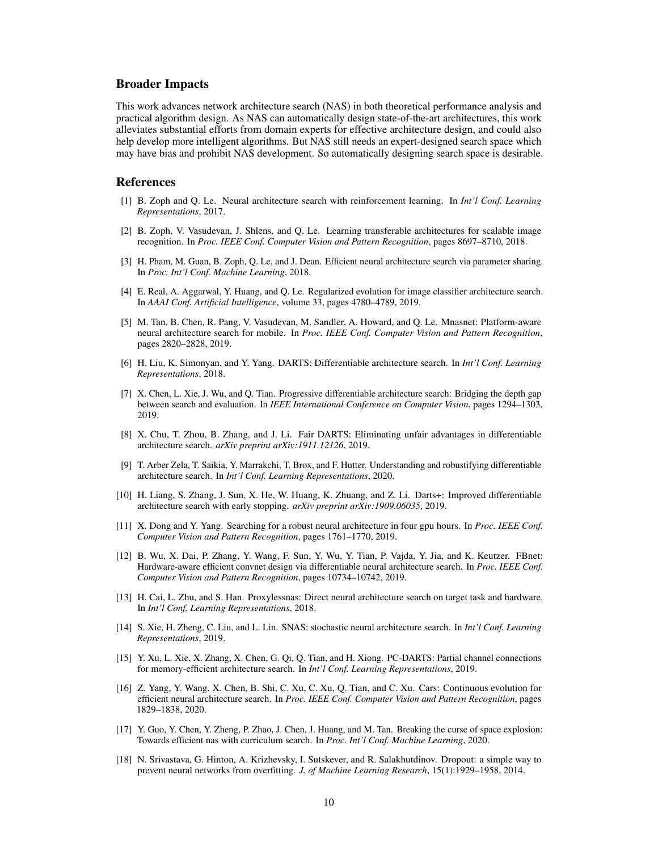## Broader Impacts

This work advances network architecture search (NAS) in both theoretical performance analysis and practical algorithm design. As NAS can automatically design state-of-the-art architectures, this work alleviates substantial efforts from domain experts for effective architecture design, and could also help develop more intelligent algorithms. But NAS still needs an expert-designed search space which may have bias and prohibit NAS development. So automatically designing search space is desirable.

## References

- <span id="page-9-0"></span>[1] B. Zoph and Q. Le. Neural architecture search with reinforcement learning. In *Int'l Conf. Learning Representations*, 2017.
- <span id="page-9-1"></span>[2] B. Zoph, V. Vasudevan, J. Shlens, and Q. Le. Learning transferable architectures for scalable image recognition. In *Proc. IEEE Conf. Computer Vision and Pattern Recognition*, pages 8697–8710, 2018.
- <span id="page-9-12"></span>[3] H. Pham, M. Guan, B. Zoph, Q. Le, and J. Dean. Efficient neural architecture search via parameter sharing. In *Proc. Int'l Conf. Machine Learning*, 2018.
- <span id="page-9-3"></span>[4] E. Real, A. Aggarwal, Y. Huang, and Q. Le. Regularized evolution for image classifier architecture search. In *AAAI Conf. Artificial Intelligence*, volume 33, pages 4780–4789, 2019.
- <span id="page-9-15"></span>[5] M. Tan, B. Chen, R. Pang, V. Vasudevan, M. Sandler, A. Howard, and Q. Le. Mnasnet: Platform-aware neural architecture search for mobile. In *Proc. IEEE Conf. Computer Vision and Pattern Recognition*, pages 2820–2828, 2019.
- <span id="page-9-2"></span>[6] H. Liu, K. Simonyan, and Y. Yang. DARTS: Differentiable architecture search. In *Int'l Conf. Learning Representations*, 2018.
- <span id="page-9-4"></span>[7] X. Chen, L. Xie, J. Wu, and Q. Tian. Progressive differentiable architecture search: Bridging the depth gap between search and evaluation. In *IEEE International Conference on Computer Vision*, pages 1294–1303, 2019.
- <span id="page-9-8"></span>[8] X. Chu, T. Zhou, B. Zhang, and J. Li. Fair DARTS: Eliminating unfair advantages in differentiable architecture search. *arXiv preprint arXiv:1911.12126*, 2019.
- <span id="page-9-11"></span>[9] T. Arber Zela, T. Saikia, Y. Marrakchi, T. Brox, and F. Hutter. Understanding and robustifying differentiable architecture search. In *Int'l Conf. Learning Representations*, 2020.
- <span id="page-9-5"></span>[10] H. Liang, S. Zhang, J. Sun, X. He, W. Huang, K. Zhuang, and Z. Li. Darts+: Improved differentiable architecture search with early stopping. *arXiv preprint arXiv:1909.06035*, 2019.
- <span id="page-9-6"></span>[11] X. Dong and Y. Yang. Searching for a robust neural architecture in four gpu hours. In *Proc. IEEE Conf. Computer Vision and Pattern Recognition*, pages 1761–1770, 2019.
- <span id="page-9-7"></span>[12] B. Wu, X. Dai, P. Zhang, Y. Wang, F. Sun, Y. Wu, Y. Tian, P. Vajda, Y. Jia, and K. Keutzer. FBnet: Hardware-aware efficient convnet design via differentiable neural architecture search. In *Proc. IEEE Conf. Computer Vision and Pattern Recognition*, pages 10734–10742, 2019.
- <span id="page-9-16"></span>[13] H. Cai, L. Zhu, and S. Han. Proxylessnas: Direct neural architecture search on target task and hardware. In *Int'l Conf. Learning Representations*, 2018.
- <span id="page-9-13"></span>[14] S. Xie, H. Zheng, C. Liu, and L. Lin. SNAS: stochastic neural architecture search. In *Int'l Conf. Learning Representations*, 2019.
- <span id="page-9-14"></span>[15] Y. Xu, L. Xie, X. Zhang, X. Chen, G. Qi, Q. Tian, and H. Xiong. PC-DARTS: Partial channel connections for memory-efficient architecture search. In *Int'l Conf. Learning Representations*, 2019.
- [16] Z. Yang, Y. Wang, X. Chen, B. Shi, C. Xu, C. Xu, Q. Tian, and C. Xu. Cars: Continuous evolution for efficient neural architecture search. In *Proc. IEEE Conf. Computer Vision and Pattern Recognition*, pages 1829–1838, 2020.
- <span id="page-9-9"></span>[17] Y. Guo, Y. Chen, Y. Zheng, P. Zhao, J. Chen, J. Huang, and M. Tan. Breaking the curse of space explosion: Towards efficient nas with curriculum search. In *Proc. Int'l Conf. Machine Learning*, 2020.
- <span id="page-9-10"></span>[18] N. Srivastava, G. Hinton, A. Krizhevsky, I. Sutskever, and R. Salakhutdinov. Dropout: a simple way to prevent neural networks from overfitting. *J. of Machine Learning Research*, 15(1):1929–1958, 2014.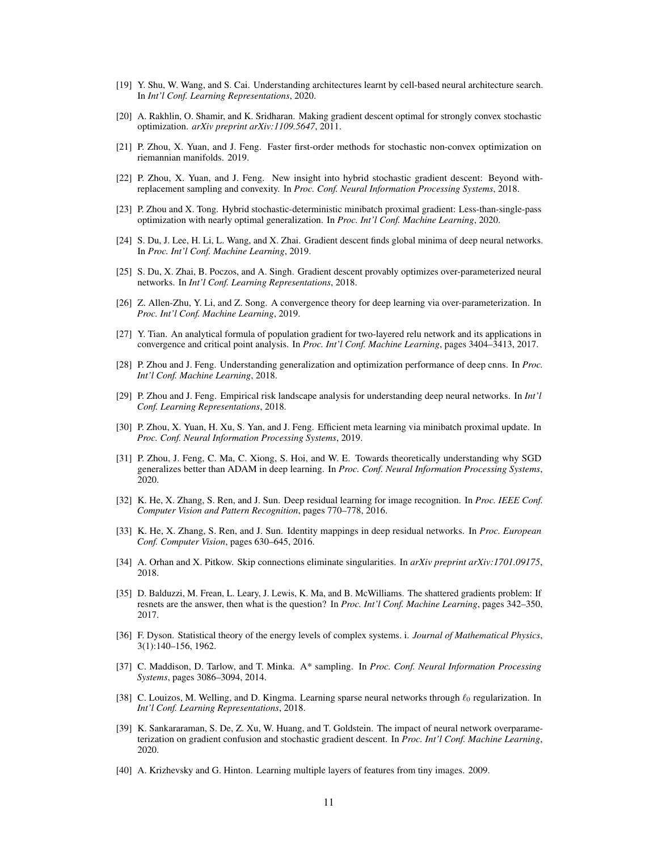- <span id="page-10-0"></span>[19] Y. Shu, W. Wang, and S. Cai. Understanding architectures learnt by cell-based neural architecture search. In *Int'l Conf. Learning Representations*, 2020.
- <span id="page-10-1"></span>[20] A. Rakhlin, O. Shamir, and K. Sridharan. Making gradient descent optimal for strongly convex stochastic optimization. *arXiv preprint arXiv:1109.5647*, 2011.
- [21] P. Zhou, X. Yuan, and J. Feng. Faster first-order methods for stochastic non-convex optimization on riemannian manifolds. 2019.
- [22] P. Zhou, X. Yuan, and J. Feng. New insight into hybrid stochastic gradient descent: Beyond withreplacement sampling and convexity. In *Proc. Conf. Neural Information Processing Systems*, 2018.
- <span id="page-10-2"></span>[23] P. Zhou and X. Tong. Hybrid stochastic-deterministic minibatch proximal gradient: Less-than-single-pass optimization with nearly optimal generalization. In *Proc. Int'l Conf. Machine Learning*, 2020.
- <span id="page-10-3"></span>[24] S. Du, J. Lee, H. Li, L. Wang, and X. Zhai. Gradient descent finds global minima of deep neural networks. In *Proc. Int'l Conf. Machine Learning*, 2019.
- [25] S. Du, X. Zhai, B. Poczos, and A. Singh. Gradient descent provably optimizes over-parameterized neural networks. In *Int'l Conf. Learning Representations*, 2018.
- [26] Z. Allen-Zhu, Y. Li, and Z. Song. A convergence theory for deep learning via over-parameterization. In *Proc. Int'l Conf. Machine Learning*, 2019.
- <span id="page-10-5"></span>[27] Y. Tian. An analytical formula of population gradient for two-layered relu network and its applications in convergence and critical point analysis. In *Proc. Int'l Conf. Machine Learning*, pages 3404–3413, 2017.
- [28] P. Zhou and J. Feng. Understanding generalization and optimization performance of deep cnns. In *Proc. Int'l Conf. Machine Learning*, 2018.
- [29] P. Zhou and J. Feng. Empirical risk landscape analysis for understanding deep neural networks. In *Int'l Conf. Learning Representations*, 2018.
- [30] P. Zhou, X. Yuan, H. Xu, S. Yan, and J. Feng. Efficient meta learning via minibatch proximal update. In *Proc. Conf. Neural Information Processing Systems*, 2019.
- <span id="page-10-4"></span>[31] P. Zhou, J. Feng, C. Ma, C. Xiong, S. Hoi, and W. E. Towards theoretically understanding why SGD generalizes better than ADAM in deep learning. In *Proc. Conf. Neural Information Processing Systems*, 2020.
- <span id="page-10-6"></span>[32] K. He, X. Zhang, S. Ren, and J. Sun. Deep residual learning for image recognition. In *Proc. IEEE Conf. Computer Vision and Pattern Recognition*, pages 770–778, 2016.
- [33] K. He, X. Zhang, S. Ren, and J. Sun. Identity mappings in deep residual networks. In *Proc. European Conf. Computer Vision*, pages 630–645, 2016.
- [34] A. Orhan and X. Pitkow. Skip connections eliminate singularities. In *arXiv preprint arXiv:1701.09175*, 2018.
- <span id="page-10-7"></span>[35] D. Balduzzi, M. Frean, L. Leary, J. Lewis, K. Ma, and B. McWilliams. The shattered gradients problem: If resnets are the answer, then what is the question? In *Proc. Int'l Conf. Machine Learning*, pages 342–350, 2017.
- <span id="page-10-8"></span>[36] F. Dyson. Statistical theory of the energy levels of complex systems. i. *Journal of Mathematical Physics*, 3(1):140–156, 1962.
- <span id="page-10-9"></span>[37] C. Maddison, D. Tarlow, and T. Minka. A\* sampling. In *Proc. Conf. Neural Information Processing Systems*, pages 3086–3094, 2014.
- <span id="page-10-10"></span>[38] C. Louizos, M. Welling, and D. Kingma. Learning sparse neural networks through  $\ell_0$  regularization. In *Int'l Conf. Learning Representations*, 2018.
- <span id="page-10-11"></span>[39] K. Sankararaman, S. De, Z. Xu, W. Huang, and T. Goldstein. The impact of neural network overparameterization on gradient confusion and stochastic gradient descent. In *Proc. Int'l Conf. Machine Learning*, 2020.
- <span id="page-10-12"></span>[40] A. Krizhevsky and G. Hinton. Learning multiple layers of features from tiny images. 2009.